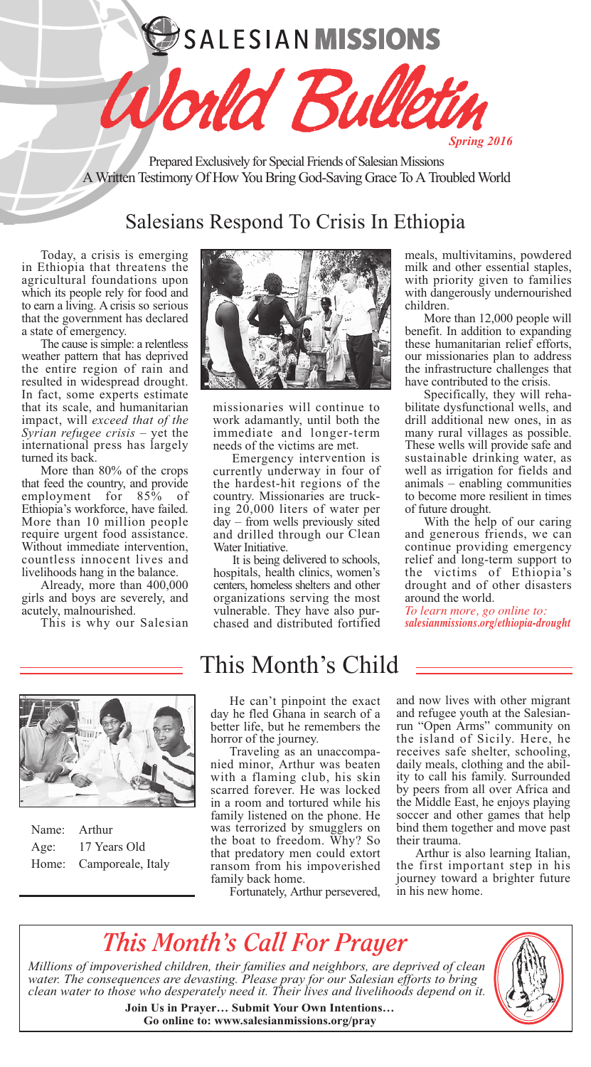SALESIAN MISSIONS

Prepared Exclusively for Special Friends of Salesian Missions A Written Testimony Of How You Bring God-Saving Grace To A Troubled World

uld Bul

# Salesians Respond To Crisis In Ethiopia

Today, a crisis is emerging in Ethiopia that threatens the agricultural foundations upon which its people rely for food and to earn a living. A crisis so serious that the government has declared <sup>a</sup> state of emergency. The cause issimple: <sup>a</sup> relentless

weather pattern that has deprived the entire region of rain and<br>resulted in widespread drought. In fact, some experts estimate that its scale, and humanitarian impact, will *exceed that of the Syrian refugee crisis* – yet the international press has largely

turned its back. More than 80% of the crops that feed the country, and provide employment for 85% of Ethiopia's workforce, have failed. More than <sup>10</sup> million people Without immediate intervention,<br>countless innocent lives and<br>livelihoods hang in the balance.

Already, more than 400,000 girls and boys are severely, and acutely, malnourished. This is why our Salesian



missionaries will continue to work adamantly, until both the immediate and longer-term needs of the victims are met.

Emergency intervention is currently underway in four of the hardest-hit regions of the country. Missionaries are truck ing 20,000 liters of water per day – from wells previously sited and drilled through our Clean Water Initiative.

It is being delivered to schools, hospitals, health clinics, women's centers, homeless shelters and other organizations serving the most vulnerable. They have also purchased and distributed fortified meals, multivitamins, powdered<br>milk and other essential staples, with priority given to families with dangerously undernourished children. More than 12,000 people will

*Spring 2016*

benefit. In addition to expanding these humanitarian relief efforts, our missionaries plan to address the infrastructure challenges that<br>have contributed to the crisis.

Specifically, they will reha-<br>bilitate dysfunctional wells, and drill additional new ones, in as many rural villages as possible. These wells will provide safe and sustainable drinking water, as well as irrigation for fields and animals – enabling communities to become more resilient in times

of future drought. With the help of our caring and generous friends, we can continue providing emergency relief and long-term support to the victims of Ethiopia's drought and of other disasters around the world.

*To learn more, go online to: salesianmissions.org/ethiopia-drought*



|      | Name: Arthur            |
|------|-------------------------|
| Age: | 17 Years Old            |
|      | Home: Camporeale, Italy |

# This Month's Child

He can't pinpoint the exact day he fled Ghana in search of a better life, but he remembers the

horror of the journey.<br>Traveling as an unaccompa-<br>nied minor, Arthur was beaten with a flaming club, his skin scarred forever. He was locked in a room and tortured while his family listened on the phone. He was terrorized by smugglers on the boat to freedom. Why? So that predatory men could extort ransom from his impoverished<br>family back home.

Fortunately, Arthur persevered,

and now lives with other migrant and refugee youth at the Salesian-<br>run "Open Arms" community on the island of Sicily. Here, he receives safe shelter, schooling, daily meals, clothing and the abil- ity to call his family. Surrounded by peers from all over Africa and the Middle East, he enjoys playing soccer and other games that help bind them together and move past<br>their trauma.

Arthur is also learning Italian, the first important step in his journey toward a brighter future in his new home.

# *This Month's Call For Prayer*

*Millions of impoverished children, their families and neighbors, are deprived of clean water. The consequences are devasting. Please pray for our Salesian efforts to bring clean water to those who desperately need it. Their lives and livelihoods depend on it.*



**Join Us in Prayer… Submit Your Own Intentions… Go online to: www.salesianmissions.org/pray**